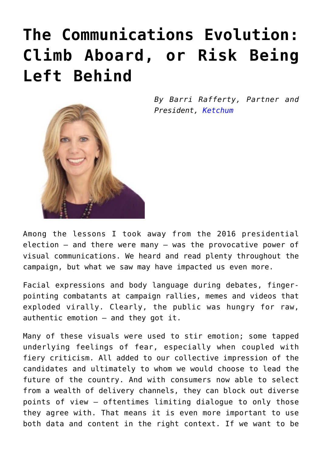## **[The Communications Evolution:](https://www.commpro.biz/the-communications-evolution-climb-aboard-or-risk-being-left-behind/) [Climb Aboard, or Risk Being](https://www.commpro.biz/the-communications-evolution-climb-aboard-or-risk-being-left-behind/) [Left Behind](https://www.commpro.biz/the-communications-evolution-climb-aboard-or-risk-being-left-behind/)**

*By Barri Rafferty, Partner and President, [Ketchum](https://www.ketchum.com/)*

Among the lessons I took away from the 2016 presidential election – and there were many – was the provocative power of visual communications. We heard and read plenty throughout the campaign, but what we saw may have impacted us even more.

Facial expressions and body language during debates, fingerpointing combatants at campaign rallies, memes and videos that exploded virally. Clearly, the public was hungry for raw, authentic emotion – and they got it.

Many of these visuals were used to stir emotion; some tapped underlying feelings of fear, especially when coupled with fiery criticism. All added to our collective impression of the candidates and ultimately to whom we would choose to lead the future of the country. And with consumers now able to select from a wealth of delivery channels, they can block out diverse points of view – oftentimes limiting dialogue to only those they agree with. That means it is even more important to use both data and content in the right context. If we want to be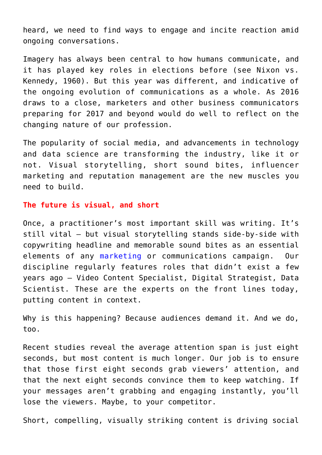heard, we need to find ways to engage and incite reaction amid ongoing conversations.

Imagery has always been central to how humans communicate, and it has played key roles in elections before (see Nixon vs. Kennedy, 1960). But this year was different, and indicative of the ongoing evolution of communications as a whole. As 2016 draws to a close, marketers and other business communicators preparing for 2017 and beyond would do well to reflect on the changing nature of our profession.

The popularity of social media, and advancements in technology and data science are transforming the industry, like it or not. Visual storytelling, short sound bites, influencer marketing and reputation management are the new muscles you need to build.

#### **The future is visual, and short**

Once, a practitioner's most important skill was writing. It's still vital – but visual storytelling stands side-by-side with copywriting headline and memorable sound bites as an essential elements of any [marketing](https://www.commpro.biz/marketing-section/) or communications campaign. Our discipline regularly features roles that didn't exist a few years ago – Video Content Specialist, Digital Strategist, Data Scientist. These are the experts on the front lines today, putting content in context.

Why is this happening? Because audiences demand it. And we do, too.

Recent studies reveal the average attention span is just eight seconds, but most content is much longer. Our job is to ensure that those first eight seconds grab viewers' attention, and that the next eight seconds convince them to keep watching. If your messages aren't grabbing and engaging instantly, you'll lose the viewers. Maybe, to your competitor.

Short, compelling, visually striking content is driving social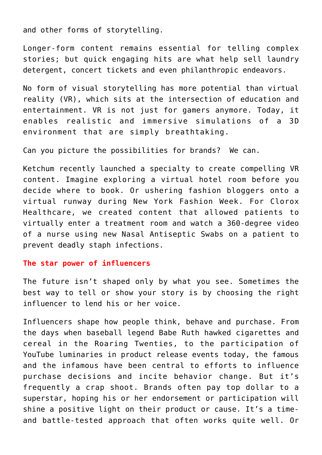and other forms of storytelling.

Longer-form content remains essential for telling complex stories; but quick engaging hits are what help sell laundry detergent, concert tickets and even philanthropic endeavors.

No form of visual storytelling has more potential than virtual reality (VR), which sits at the intersection of education and entertainment. VR is not just for gamers anymore. Today, it enables realistic and immersive simulations of a 3D environment that are simply breathtaking.

Can you picture the possibilities for brands? We can.

Ketchum recently launched a specialty to create compelling VR content. Imagine exploring a virtual hotel room before you decide where to book. Or ushering fashion bloggers onto a virtual runway during New York Fashion Week. For Clorox Healthcare, we created content that allowed patients to virtually enter a treatment room and watch a 360-degree video of a nurse using new Nasal Antiseptic Swabs on a patient to prevent deadly staph infections.

#### **The star power of influencers**

The future isn't shaped only by what you see. Sometimes the best way to tell or show your story is by choosing the right influencer to lend his or her voice.

Influencers shape how people think, behave and purchase. From the days when baseball legend Babe Ruth hawked cigarettes and cereal in the Roaring Twenties, to the participation of YouTube luminaries in product release events today, the famous and the infamous have been central to efforts to influence purchase decisions and incite behavior change. But it's frequently a crap shoot. Brands often pay top dollar to a superstar, hoping his or her endorsement or participation will shine a positive light on their product or cause. It's a timeand battle-tested approach that often works quite well. Or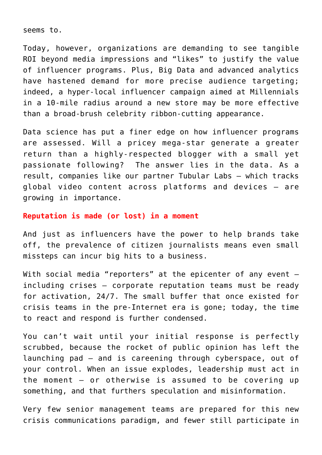seems to.

Today, however, organizations are demanding to see tangible ROI beyond media impressions and "likes" to justify the value of influencer programs. Plus, Big Data and advanced analytics have hastened demand for more precise audience targeting; indeed, a hyper-local influencer campaign aimed at Millennials in a 10-mile radius around a new store may be more effective than a broad-brush celebrity ribbon-cutting appearance.

Data science has put a finer edge on how influencer programs are assessed. Will a pricey mega-star generate a greater return than a highly-respected blogger with a small yet passionate following? The answer lies in the data. As a result, companies like our partner Tubular Labs – which tracks global video content across platforms and devices – are growing in importance.

#### **Reputation is made (or lost) in a moment**

And just as influencers have the power to help brands take off, the prevalence of citizen journalists means even small missteps can incur big hits to a business.

With social media "reporters" at the epicenter of any event  $$ including crises – corporate reputation teams must be ready for activation, 24/7. The small buffer that once existed for crisis teams in the pre-Internet era is gone; today, the time to react and respond is further condensed.

You can't wait until your initial response is perfectly scrubbed, because the rocket of public opinion has left the launching pad – and is careening through cyberspace, out of your control. When an issue explodes, leadership must act in the moment – or otherwise is assumed to be covering up something, and that furthers speculation and misinformation.

Very few senior management teams are prepared for this new crisis communications paradigm, and fewer still participate in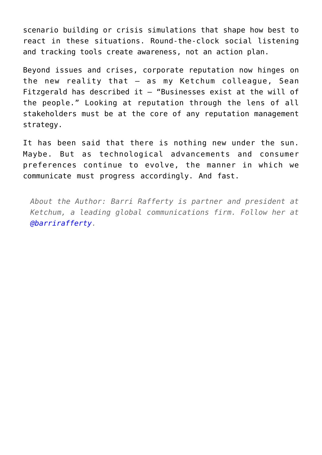scenario building or crisis simulations that shape how best to react in these situations. Round-the-clock social listening and tracking tools create awareness, not an action plan.

Beyond issues and crises, corporate reputation now hinges on the new reality that – as my Ketchum colleague, Sean Fitzgerald has described it  $-$  "Businesses exist at the will of the people." Looking at reputation through the lens of all stakeholders must be at the core of any reputation management strategy.

It has been said that there is nothing new under the sun. Maybe. But as technological advancements and consumer preferences continue to evolve, the manner in which we communicate must progress accordingly. And fast.

*About the Author: Barri Rafferty is partner and president at Ketchum, a leading global communications firm. Follow her at [@barrirafferty.](https://twitter.com/barrirafferty)*